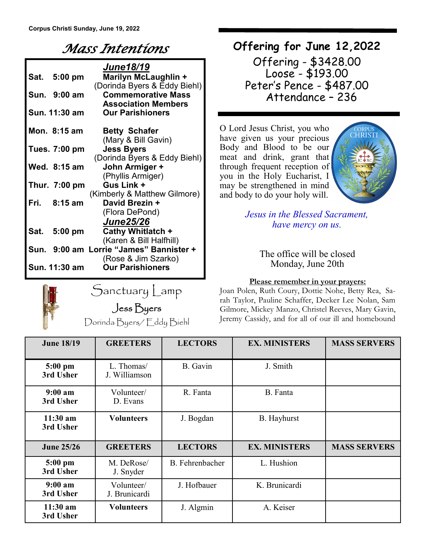## *Mass Intentions*

| June18/19 |               |                                                       |  |  |  |  |
|-----------|---------------|-------------------------------------------------------|--|--|--|--|
|           | Sat. 5:00 pm  | Marilyn McLaughlin +                                  |  |  |  |  |
|           |               | (Dorinda Byers & Eddy Biehl)                          |  |  |  |  |
|           | Sun. 9:00 am  | <b>Commemorative Mass</b>                             |  |  |  |  |
|           | Sun. 11:30 am | <b>Association Members</b><br><b>Our Parishioners</b> |  |  |  |  |
|           |               |                                                       |  |  |  |  |
|           | Mon. 8:15 am  | <b>Betty Schafer</b>                                  |  |  |  |  |
|           |               | (Mary & Bill Gavin)                                   |  |  |  |  |
|           | Tues. 7:00 pm | <b>Jess Byers</b>                                     |  |  |  |  |
|           |               | (Dorinda Byers & Eddy Biehl)                          |  |  |  |  |
|           | Wed. 8:15 am  | John Armiger +                                        |  |  |  |  |
|           |               | (Phyllis Armiger)                                     |  |  |  |  |
|           | Thur. 7:00 pm | Gus Link +                                            |  |  |  |  |
|           |               | (Kimberly & Matthew Gilmore)                          |  |  |  |  |
| Fri.      | $8:15$ am     | David Brezin +                                        |  |  |  |  |
|           |               | (Flora DePond)                                        |  |  |  |  |
|           |               | <b>June25/26</b>                                      |  |  |  |  |
|           | Sat. 5:00 pm  | Cathy Whitlatch +                                     |  |  |  |  |
|           |               | (Karen & Bill Halfhill)                               |  |  |  |  |
|           |               | Sun. 9:00 am Lorrie "James" Bannister +               |  |  |  |  |
|           |               | (Rose & Jim Szarko)                                   |  |  |  |  |
|           | Sun. 11:30 am | <b>Our Parishioners</b>                               |  |  |  |  |



Sanctuary Lamp Jess Byers

Dorinda Byers/ Eddy Biehl

### **Offering for June 12,2022**

Offering - \$3428.00 Loose - \$193.00 Peter's Pence - \$487.00 Attendance – 236

O Lord Jesus Christ, you who have given us your precious Body and Blood to be our meat and drink, grant that through frequent reception of you in the Holy Eucharist, I may be strengthened in mind and body to do your holy will.



*Jesus in the Blessed Sacrament, have mercy on us.*

#### The office will be closed Monday, June 20th

#### **Please remember in your prayers:**

Joan Polen, Ruth Coury, Dottie Nohe, Betty Rea, Sarah Taylor, Pauline Schaffer, Decker Lee Nolan, Sam Gilmore, Mickey Manzo, Christel Reeves, Mary Gavin, Jeremy Cassidy, and for all of our ill and homebound

| <b>June 18/19</b>                | <b>GREETERS</b>             | <b>LECTORS</b>  | <b>EX. MINISTERS</b> | <b>MASS SERVERS</b> |
|----------------------------------|-----------------------------|-----------------|----------------------|---------------------|
| $5:00$ pm<br>3rd Usher           | L. Thomas/<br>J. Williamson | B. Gavin        | J. Smith             |                     |
| 9:00 a <sub>m</sub><br>3rd Usher | Volunteer/<br>D. Evans      | R. Fanta        | B. Fanta             |                     |
| $11:30$ am<br>3rd Usher          | <b>Volunteers</b>           | J. Bogdan       | <b>B.</b> Hayhurst   |                     |
| <b>June 25/26</b>                | <b>GREETERS</b>             | <b>LECTORS</b>  | <b>EX. MINISTERS</b> | <b>MASS SERVERS</b> |
| $5:00$ pm<br>3rd Usher           | M. DeRose/<br>J. Snyder     | B. Fehrenbacher | L. Hushion           |                     |
| $9:00 a$ m<br>3rd Usher          | Volunteer/<br>J. Brunicardi | J. Hofbauer     | K. Brunicardi        |                     |
| $11:30$ am<br>3rd Usher          | <b>Volunteers</b>           | J. Algmin       | A. Keiser            |                     |